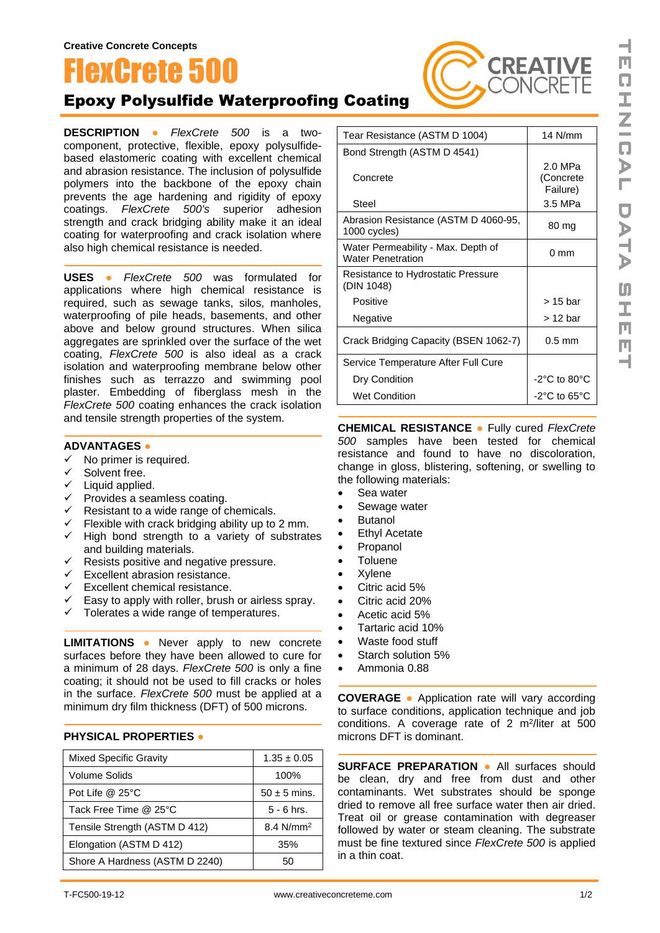# **LexCrete 5**

## Epoxy Polysulfide Waterproofing Coating

**DESCRIPTION ●** *FlexCrete 500* is a twocomponent, protective, flexible, epoxy polysulfidebased elastomeric coating with excellent chemical and abrasion resistance. The inclusion of polysulfide polymers into the backbone of the epoxy chain prevents the age hardening and rigidity of epoxy coatings. *FlexCrete 500's* superior adhesion strength and crack bridging ability make it an ideal coating for waterproofing and crack isolation where also high chemical resistance is needed.

**USES ●** *FlexCrete 500* was formulated for applications where high chemical resistance is required, such as sewage tanks, silos, manholes, waterproofing of pile heads, basements, and other above and below ground structures. When silica aggregates are sprinkled over the surface of the wet coating, *FlexCrete 500* is also ideal as a crack isolation and waterproofing membrane below other finishes such as terrazzo and swimming pool plaster. Embedding of fiberglass mesh in the *FlexCrete 500* coating enhances the crack isolation and tensile strength properties of the system.

#### **ADVANTAGES ●**

- $\checkmark$  No primer is required.
- 
- **✓** Solvent free.<br>✓ Liquid annlie Liquid applied.
- v Liquid applied.<br>✓ Provides a seamless coating.
- $\checkmark$  Resistant to a wide range of chemicals.
- $\checkmark$  Flexible with crack bridging ability up to 2 mm.
- ✓ High bond strength to a variety of substrates and building materials.
- $\checkmark$  Resists positive and negative pressure.
- $\checkmark$  Excellent abrasion resistance.
- $\checkmark$  Excellent chemical resistance.
- $\checkmark$  Easy to apply with roller, brush or airless spray.
- ✓ Tolerates a wide range of temperatures.

**LIMITATIONS ●** Never apply to new concrete surfaces before they have been allowed to cure for a minimum of 28 days. *FlexCrete 500* is only a fine coating; it should not be used to fill cracks or holes in the surface. *FlexCrete 500* must be applied at a minimum dry film thickness (DFT) of 500 microns.

#### **PHYSICAL PROPERTIES ●**

| <b>Mixed Specific Gravity</b>  | $1.35 \pm 0.05$       |
|--------------------------------|-----------------------|
| Volume Solids                  | 100%                  |
| Pot Life $@$ 25 $°C$           | $50 \pm 5$ mins.      |
| Tack Free Time @ 25°C          | $5 - 6$ hrs.          |
| Tensile Strength (ASTM D 412)  | 8.4 N/mm <sup>2</sup> |
| Elongation (ASTM D 412)        | 35%                   |
| Shore A Hardness (ASTM D 2240) | 50                    |

| Tear Resistance (ASTM D 1004)                                  | 14 N/mm                          |
|----------------------------------------------------------------|----------------------------------|
| Bond Strength (ASTM D 4541)                                    |                                  |
| Concrete                                                       | 2.0 MPa<br>(Concrete<br>Failure) |
| Steel                                                          | 3.5 MPa                          |
| Abrasion Resistance (ASTM D 4060-95,<br>1000 cycles)           | 80 mg                            |
| Water Permeability - Max. Depth of<br><b>Water Penetration</b> | $0 \text{ mm}$                   |
| Resistance to Hydrostatic Pressure<br>(DIN 1048)               |                                  |
| Positive                                                       | > 15 bar                         |
| Negative                                                       | > 12 bar                         |
| Crack Bridging Capacity (BSEN 1062-7)                          | $0.5$ mm                         |
| Service Temperature After Full Cure                            |                                  |
| Dry Condition                                                  | $-2$ °C to 80°C                  |
| <b>Wet Condition</b>                                           | $-2$ °C to 65°C                  |

CREATI

**ONCRETE** 

**CHEMICAL RESISTANCE ●** Fully cured *FlexCrete 500* samples have been tested for chemical resistance and found to have no discoloration, change in gloss, blistering, softening, or swelling to the following materials:

- Sea water
- Sewage water
- Butanol
- **Ethyl Acetate**
- **Propanol**
- **Toluene**
- **Xylene**
- Citric acid 5%
- Citric acid 20%
- Acetic acid 5%
- Tartaric acid 10%
- Waste food stuff
- Starch solution 5%
- Ammonia 0.88

**COVERAGE ●** Application rate will vary according to surface conditions, application technique and job conditions. A coverage rate of  $2 \text{ m}^2$ /liter at 500 microns DFT is dominant.

**SURFACE PREPARATION ●** All surfaces should be clean, dry and free from dust and other contaminants. Wet substrates should be sponge dried to remove all free surface water then air dried. Treat oil or grease contamination with degreaser followed by water or steam cleaning. The substrate must be fine textured since *FlexCrete 500* is applied in a thin coat.